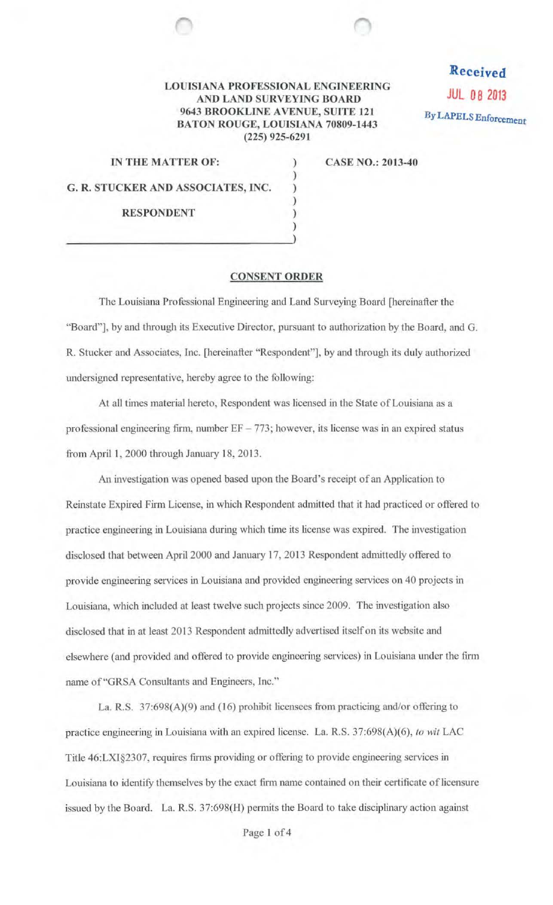## LOUISIANA PROFESSIONAL ENGINEERING AND LAND SURVEYING BOARD 9643 BROOKLINE A VENUE, SUITE 121 BATON ROUGE, LOUISIANA 70809-1443 (225) 925-6291

) ) ) ) ) )

Received JUL 08 2013 By LAPELS Enforcement

| IN THE MATTER OF:                  |  |
|------------------------------------|--|
| G. R. STUCKER AND ASSOCIATES, INC. |  |
| <b>RESPONDENT</b>                  |  |

CASE NO.: 2013-40

## CONSENT ORDER

The Louisiana Professional Engineering and Land Surveying Board [hereinafter the "Board"], by and through its Executive Director, pursuant to authorization by the Board, and G. R. Stucker and Associates, Inc. [hereinafter "Respondent"], by and through its duly authorized undersigned representative, hereby agree to the following:

At all times material hereto, Respondent was licensed in the State of Louisiana as a professional engineering firm, number  $EF - 773$ ; however, its license was in an expired status from April 1, 2000 through January 18, 2013.

An investigation was opened based upon the Board 's receipt of an Application to Reinstate Expired Finn License, in which Respondent admitted that it had practiced or offered to practice engineering in Louisiana during which time its license was expired. The investigation disclosed that between April 2000 and January 17, 2013 Respondent admittedly offered to provide engineering services in Louisiana and provided engineering services on 40 projects in Louisiana, which included at least twelve such projects since 2009. The investigation also disclosed that in at least 2013 Respondent admittedly advertised itself on its website and elsewhere (and provided and offered to provide engineering services) in Louisiana under the finn name of"GRSA Consultants and Engineers, Inc."

La. R.S.  $37:698(A)(9)$  and (16) prohibit licensees from practicing and/or offering to practice engineering in Louisiana with an expired license. La. R.S. 37:698(A)(6), *to wit* LAC Title 46:LXI§2307, requires firms providing or offering to provide engineering services in Louisiana to identify themselves by the exact finn name contained on their certificate of licensure issued by the Board. La. R.S. 37:698(H) permits the Board to take disciplinary action against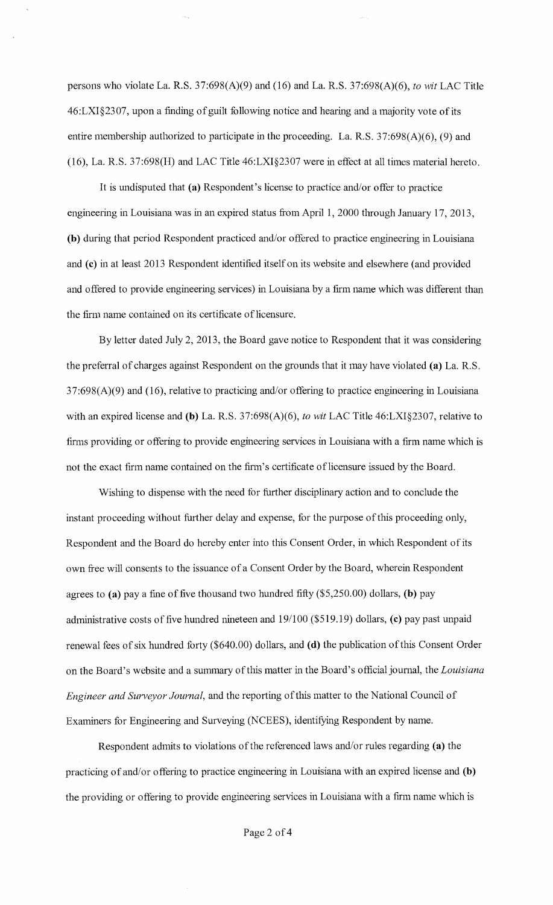persons who violate La. R.S. 37:698(A)(9) and (16) and La. R.S. 37:698(A)(6), *to wit* LAC Title 46:LXI§2307, upon a finding of guilt following notice and hearing and a majority vote of its entire membership authorized to participate in the proceeding. La. R.S. 37:698(A)(6), (9) and (16), La. R.S. 37:698(H) and LAC Title 46:LXI§2307 were in effect at all times material hereto.

It is undisputed that (a) Respondent's license to practice and/or offer to practice engineering in Louisiana was in an expired status from April 1, 2000 through January 17, 2013, (b) during that period Respondent practiced and/or offered to practice engineering in Louisiana and (c) in at least 2013 Respondent identified itself on its website and elsewhere (and provided and offered to provide engineering services) in Louisiana by a firm name which was different than the firm name contained on its certificate of licensure.

By letter dated July 2, 2013, the Board gave notice to Respondent that it was considering the preferra1 of charges against Respondent on the grounds that it may have violated (a) La. R.S.  $37:698(A)(9)$  and (16), relative to practicing and/or offering to practice engineering in Louisiana with an expired license and (b) La. R.S. 37:698(A)(6), *to wit* LAC Title 46:LXI§2307, relative to firms providing or offering to provide engineering services in Louisiana with a firm name which is not the exact firm name contained on the firm's certificate of licensure issued by the Board.

Wishing to dispense with the need for further disciplinary action and to conclude the instant proceeding without further delay and expense, for the purpose of this proceeding only, Respondent and the Board do hereby enter into this Consent Order, in which Respondent of its own free will consents to the issuance of a Consent Order by the Board, wherein Respondent agrees to (a) pay a fine of five thousand two hundred fifty  $(\$5,250.00)$  dollars, (b) pay administrative costs of five hundred nineteen and 19/100 (\$519.19) dollars, (c) pay past unpaid renewal fees of six hundred forty (\$640.00) dollars, and (d) the publication ofthis Consent Order on the Board's website and a summary of this matter in the Board's official journal, the *Louisiana Engineer and Surveyor Journal,* and the reporting of this matter to the National Council of Examiners for Engineering and Surveying (NCEES), identifying Respondent by name.

Respondent admits to violations of the referenced laws and/or rules regarding (a) the practicing of and/or offering to practice engineering in Louisiana with an expired license and (b) the providing or offering to provide engineering services in Louisiana with a firm name which is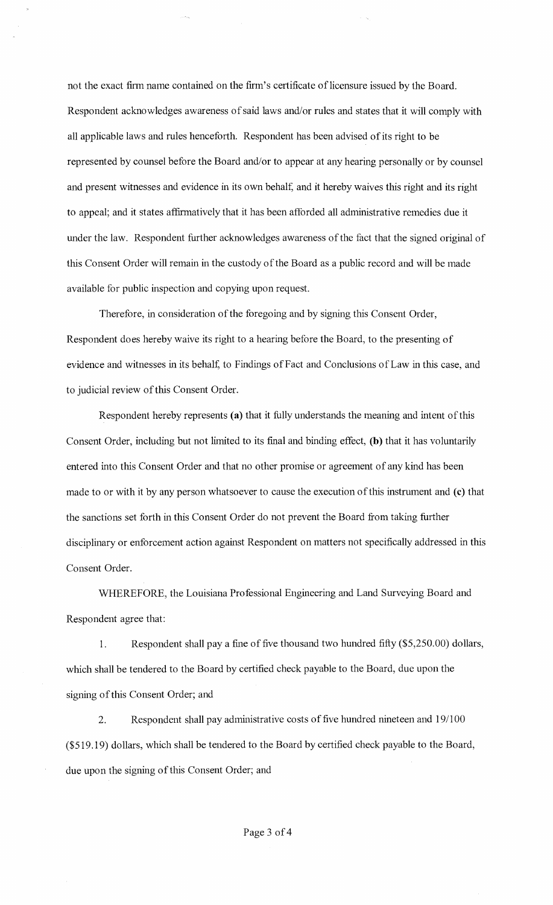not the exact firm name contained on the firm's certificate of licensure issued by the Board. Respondent acknowledges awareness of said laws and/or rules and states that it will comply with all applicable laws and rules henceforth. Respondent has been advised of its right to be represented by counsel before the Board and/or to appear at any hearing personally or by counsel and present witnesses and evidence in its own behalf, and it hereby waives this right and its right to appeal; and it states affirmatively that it has been afforded all administrative remedies due it under the law. Respondent further acknowledges awareness of the fact that the signed original of this Consent Order will remain in the custody of the Board as a public record and will be made available for public inspection and copying upon request.

Therefore, in consideration of the foregoing and by signing this Consent Order, Respondent does hereby waive its right to a hearing before the Board, to the presenting of evidence and witnesses in its behalf, to Findings of Fact and Conclusions of Law in this case, and to judicial review of this Consent Order.

Respondent hereby represents (a) that it fully understands the meaning and intent of this Consent Order, including but not limited to its final and binding effect, (b) that it has voluntarily entered into this Consent Order and that no other promise or agreement of any kind has been made to or with it by any person whatsoever to cause the execution of this instrument and (c) that the sanctions set forth in this Consent Order do not prevent the Board from taking further disciplinary or enforcement action against Respondent on matters not specifically addressed in this Consent Order.

WHEREFORE, the Louisiana Professional Engineering and Land Surveying Board and Respondent agree that:

1. Respondent shall pay a fine of five thousand two hundred fifty (\$5,250.00) dollars, which shall be tendered to the Board by certified check payable to the Board, due upon the signing of this Consent Order; and

2. Respondent shall pay administrative costs of five hundred nineteen and 19/100 (\$519.19) dollars, which shall be tendered to the Board by certified check payable to the Board, due upon the signing of this Consent Order; and